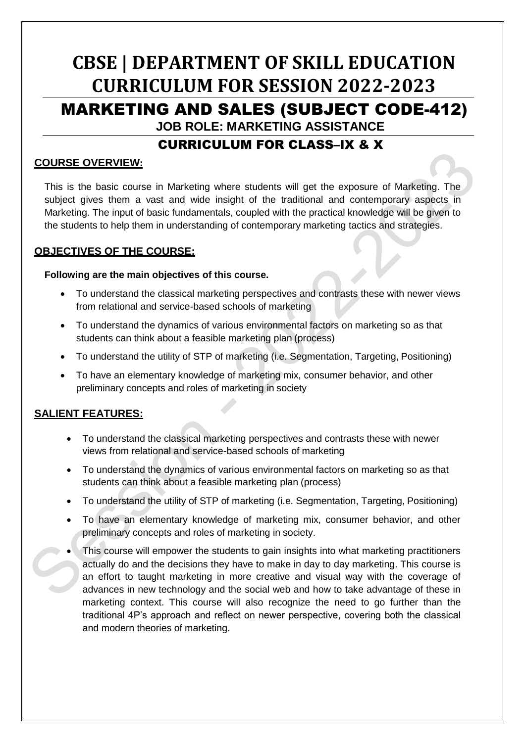# **CBSE | DEPARTMENT OF SKILL EDUCATION CURRICULUM FOR SESSION 2022-2023** MARKETING AND SALES (SUBJECT CODE-412) **JOB ROLE: MARKETING ASSISTANCE**

## CURRICULUM FOR CLASS–IX & X

#### **COURSE OVERVIEW:**

This is the basic course in Marketing where students will get the exposure of Marketing. The subject gives them a vast and wide insight of the traditional and contemporary aspects in Marketing. The input of basic fundamentals, coupled with the practical knowledge will be given to the students to help them in understanding of contemporary marketing tactics and strategies.

## **OBJECTIVES OF THE COURSE:**

#### **Following are the main objectives of this course.**

- To understand the classical marketing perspectives and contrasts these with newer views from relational and service-based schools of marketing
- To understand the dynamics of various environmental factors on marketing so as that students can think about a feasible marketing plan (process)
- To understand the utility of STP of marketing (i.e. Segmentation, Targeting, Positioning)
- To have an elementary knowledge of marketing mix, consumer behavior, and other preliminary concepts and roles of marketing in society

## **SALIENT FEATURES:**

- To understand the classical marketing perspectives and contrasts these with newer views from relational and service-based schools of marketing
- To understand the dynamics of various environmental factors on marketing so as that students can think about a feasible marketing plan (process)
- To understand the utility of STP of marketing (i.e. Segmentation, Targeting, Positioning)
- To have an elementary knowledge of marketing mix, consumer behavior, and other preliminary concepts and roles of marketing in society.
- This course will empower the students to gain insights into what marketing practitioners actually do and the decisions they have to make in day to day marketing. This course is an effort to taught marketing in more creative and visual way with the coverage of advances in new technology and the social web and how to take advantage of these in marketing context. This course will also recognize the need to go further than the traditional 4P's approach and reflect on newer perspective, covering both the classical and modern theories of marketing.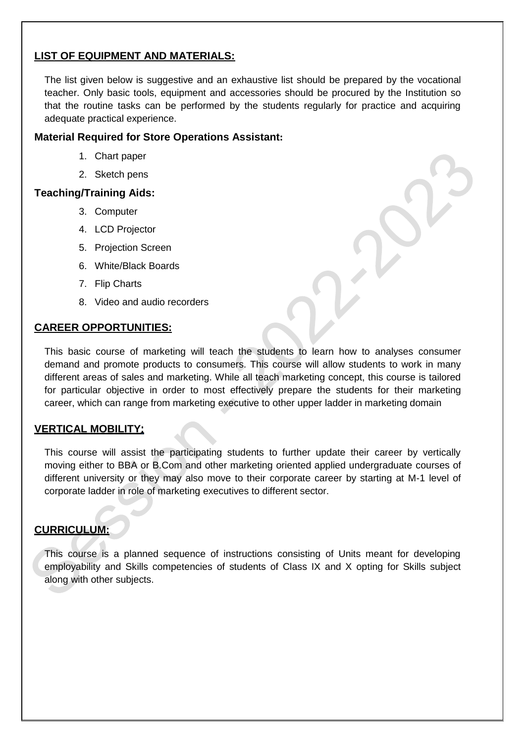## **LIST OF EQUIPMENT AND MATERIALS:**

The list given below is suggestive and an exhaustive list should be prepared by the vocational teacher. Only basic tools, equipment and accessories should be procured by the Institution so that the routine tasks can be performed by the students regularly for practice and acquiring adequate practical experience.

## **Material Required for Store Operations Assistant:**

- 1. Chart paper
- 2. Sketch pens

#### **Teaching/Training Aids:**

- 3. Computer
- 4. LCD Projector
- 5. Projection Screen
- 6. White/Black Boards
- 7. Flip Charts
- 8. Video and audio recorders

#### **CAREER OPPORTUNITIES:**

This basic course of marketing will teach the students to learn how to analyses consumer demand and promote products to consumers. This course will allow students to work in many different areas of sales and marketing. While all teach marketing concept, this course is tailored for particular objective in order to most effectively prepare the students for their marketing career, which can range from marketing executive to other upper ladder in marketing domain

#### **VERTICAL MOBILITY**

This course will assist the participating students to further update their career by vertically moving either to BBA or B.Com and other marketing oriented applied undergraduate courses of different university or they may also move to their corporate career by starting at M-1 level of corporate ladder in role of marketing executives to different sector.

## **CURRICULUM:**

This course is a planned sequence of instructions consisting of Units meant for developing employability and Skills competencies of students of Class IX and X opting for Skills subject along with other subjects.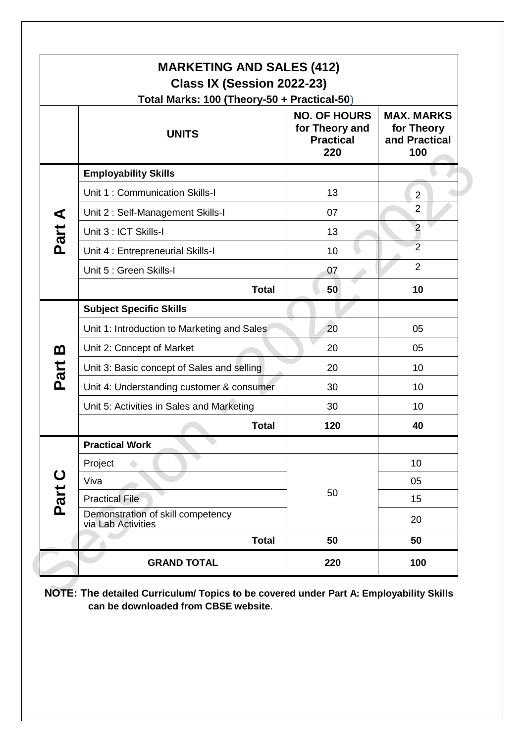| <b>MARKETING AND SALES (412)</b><br>Class IX (Session 2022-23)<br>Total Marks: 100 (Theory-50 + Practical-50) |                                                         |                                                                  |                                                         |  |
|---------------------------------------------------------------------------------------------------------------|---------------------------------------------------------|------------------------------------------------------------------|---------------------------------------------------------|--|
|                                                                                                               | <b>UNITS</b>                                            | <b>NO. OF HOURS</b><br>for Theory and<br><b>Practical</b><br>220 | <b>MAX. MARKS</b><br>for Theory<br>and Practical<br>100 |  |
|                                                                                                               | <b>Employability Skills</b>                             |                                                                  |                                                         |  |
|                                                                                                               | Unit 1: Communication Skills-I                          | 13                                                               | $\overline{2}$                                          |  |
|                                                                                                               | Unit 2: Self-Management Skills-I                        | 07                                                               | $\overline{2}$                                          |  |
| Part A                                                                                                        | Unit 3 : ICT Skills-I                                   | 13                                                               | $\overline{2}$                                          |  |
|                                                                                                               | Unit 4 : Entrepreneurial Skills-I                       | 10                                                               | $\overline{2}$                                          |  |
|                                                                                                               | Unit 5 : Green Skills-I                                 | 07                                                               | $\overline{2}$                                          |  |
|                                                                                                               | <b>Total</b>                                            | 50                                                               | 10                                                      |  |
|                                                                                                               | <b>Subject Specific Skills</b>                          |                                                                  |                                                         |  |
|                                                                                                               | Unit 1: Introduction to Marketing and Sales             | 20                                                               | 05                                                      |  |
| <u>ጠ</u>                                                                                                      | Unit 2: Concept of Market                               | 20                                                               | 05                                                      |  |
| Part                                                                                                          | Unit 3: Basic concept of Sales and selling              | 20                                                               | 10                                                      |  |
|                                                                                                               | Unit 4: Understanding customer & consumer               | 30                                                               | 10                                                      |  |
|                                                                                                               | Unit 5: Activities in Sales and Marketing               | 30                                                               | 10                                                      |  |
|                                                                                                               | <b>Total</b>                                            | 120                                                              | 40                                                      |  |
|                                                                                                               | <b>Practical Work</b>                                   |                                                                  |                                                         |  |
|                                                                                                               | Project                                                 |                                                                  | 10                                                      |  |
| Part C                                                                                                        | Viva                                                    |                                                                  | 05                                                      |  |
|                                                                                                               | <b>Practical File</b>                                   | 50                                                               | 15                                                      |  |
|                                                                                                               | Demonstration of skill competency<br>via Lab Activities |                                                                  | 20                                                      |  |
|                                                                                                               | <b>Total</b>                                            | 50                                                               | 50                                                      |  |
|                                                                                                               | <b>GRAND TOTAL</b>                                      | 220                                                              | 100                                                     |  |

**NOTE: The detailed Curriculum/ Topics to be covered under Part A: Employability Skills can be downloaded from CBSE website**.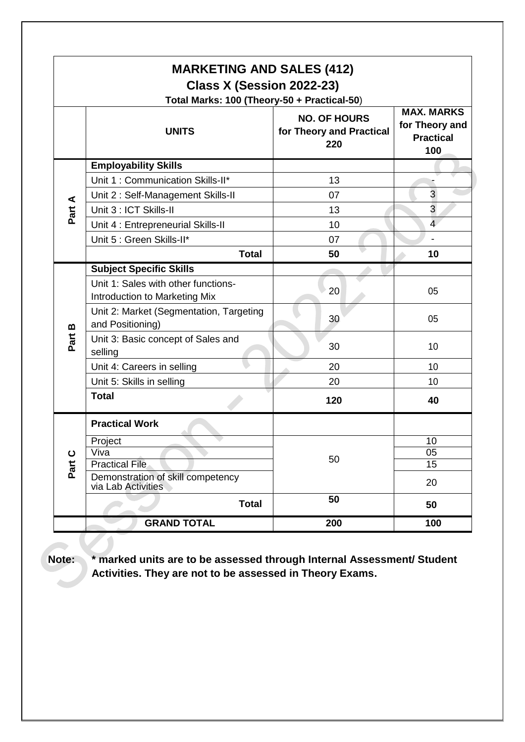| <b>MARKETING AND SALES (412)</b><br>Class X (Session 2022-23)<br>Total Marks: 100 (Theory-50 + Practical-50) |                                                                      |                                                        |                                                                |
|--------------------------------------------------------------------------------------------------------------|----------------------------------------------------------------------|--------------------------------------------------------|----------------------------------------------------------------|
|                                                                                                              | <b>UNITS</b>                                                         | <b>NO. OF HOURS</b><br>for Theory and Practical<br>220 | <b>MAX. MARKS</b><br>for Theory and<br><b>Practical</b><br>100 |
|                                                                                                              | <b>Employability Skills</b>                                          |                                                        |                                                                |
|                                                                                                              | Unit 1: Communication Skills-II*                                     | 13                                                     |                                                                |
|                                                                                                              | Unit 2: Self-Management Skills-II                                    | 07                                                     | 3                                                              |
| Part A                                                                                                       | Unit 3 : ICT Skills-II                                               | 13                                                     | 3                                                              |
|                                                                                                              | Unit 4 : Entrepreneurial Skills-II                                   | 10                                                     | $\overline{4}$                                                 |
|                                                                                                              | Unit 5 : Green Skills-II*                                            | 07                                                     |                                                                |
|                                                                                                              | <b>Total</b>                                                         | 50                                                     | 10                                                             |
|                                                                                                              | <b>Subject Specific Skills</b>                                       |                                                        |                                                                |
|                                                                                                              | Unit 1: Sales with other functions-<br>Introduction to Marketing Mix | 20                                                     | 05                                                             |
| $\pmb{\mathsf{m}}$                                                                                           | Unit 2: Market (Segmentation, Targeting<br>and Positioning)          | 30                                                     | 05                                                             |
| Part                                                                                                         | Unit 3: Basic concept of Sales and<br>selling                        | 30                                                     | 10                                                             |
|                                                                                                              | Unit 4: Careers in selling                                           | 20                                                     | 10                                                             |
|                                                                                                              | Unit 5: Skills in selling                                            | 20                                                     | 10                                                             |
|                                                                                                              | <b>Total</b>                                                         | 120                                                    | 40                                                             |
|                                                                                                              | <b>Practical Work</b>                                                |                                                        |                                                                |
|                                                                                                              | Project                                                              |                                                        | 10                                                             |
|                                                                                                              | $\overline{V}$ iva                                                   | 50                                                     | 05                                                             |
| Part C                                                                                                       | <b>Practical File</b><br>Demonstration of skill competency           |                                                        | $\overline{15}$                                                |
|                                                                                                              | via Lab Activities                                                   |                                                        | 20                                                             |
|                                                                                                              | <b>Total</b>                                                         | 50                                                     | 50                                                             |
|                                                                                                              | <b>GRAND TOTAL</b>                                                   | 200                                                    | 100                                                            |

**Note: \* marked units are to be assessed through Internal Assessment/ Student Activities. They are not to be assessed in Theory Exams.**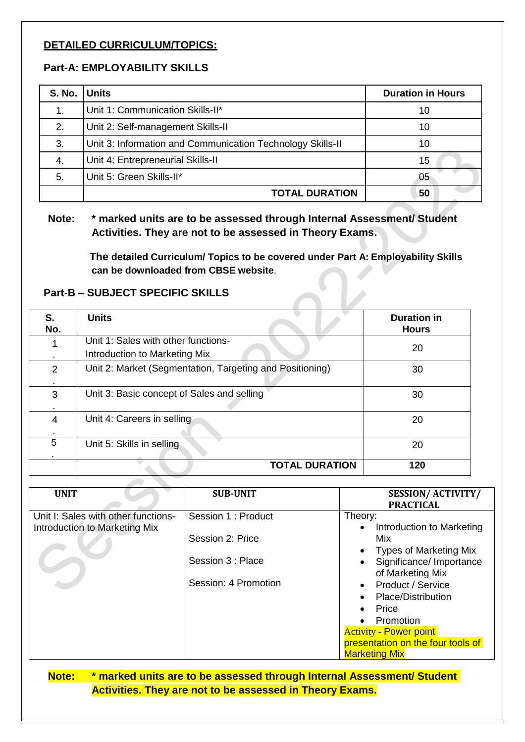#### **DETAILED CURRICULUM/TOPICS:**

## **Part-A: EMPLOYABILITY SKILLS**

| S. No. Units |                                                            | <b>Duration in Hours</b> |
|--------------|------------------------------------------------------------|--------------------------|
| 1.           | Unit 1: Communication Skills-II*                           | 10                       |
| 2.           | Unit 2: Self-management Skills-II                          | 10                       |
| 3.           | Unit 3: Information and Communication Technology Skills-II | 10                       |
| 4.           | Unit 4: Entrepreneurial Skills-II                          | 15                       |
| 5.           | Unit 5: Green Skills-II*                                   | 05                       |
|              | <b>TOTAL DURATION</b>                                      | 50                       |

**Note: \* marked units are to be assessed through Internal Assessment/ Student Activities. They are not to be assessed in Theory Exams.**

> **The detailed Curriculum/ Topics to be covered under Part A: Employability Skills can be downloaded from CBSE website**.

#### **Part-B – SUBJECT SPECIFIC SKILLS**

| S.<br>No. | <b>Units</b>                                                         | <b>Duration in</b><br><b>Hours</b> |
|-----------|----------------------------------------------------------------------|------------------------------------|
|           | Unit 1: Sales with other functions-<br>Introduction to Marketing Mix | 20                                 |
| 2         | Unit 2: Market (Segmentation, Targeting and Positioning)             | 30                                 |
| 3         | Unit 3: Basic concept of Sales and selling                           | 30                                 |
| 4         | Unit 4: Careers in selling                                           | 20                                 |
| 5         | Unit 5: Skills in selling                                            | 20                                 |
|           | <b>TOTAL DURATION</b>                                                | 120                                |

| <b>UNIT</b>                         | <b>SUB-UNIT</b>                                               | <b>SESSION/ACTIVITY/</b><br><b>PRACTICAL</b>                                                                                                                                                                                                                                                                                                                            |
|-------------------------------------|---------------------------------------------------------------|-------------------------------------------------------------------------------------------------------------------------------------------------------------------------------------------------------------------------------------------------------------------------------------------------------------------------------------------------------------------------|
| Unit I: Sales with other functions- | Session 1 : Product                                           | Theory:                                                                                                                                                                                                                                                                                                                                                                 |
| Introduction to Marketing Mix       | Session 2: Price<br>Session 3 : Place<br>Session: 4 Promotion | Introduction to Marketing<br>$\bullet$<br>Mix<br><b>Types of Marketing Mix</b><br>$\bullet$<br>Significance/ Importance<br>$\bullet$<br>of Marketing Mix<br><b>Product / Service</b><br>$\bullet$<br>Place/Distribution<br>$\bullet$<br>Price<br>$\bullet$<br>• Promotion<br><b>Activity - Power point</b><br>presentation on the four tools of<br><b>Marketing Mix</b> |

**Note: \* marked units are to be assessed through Internal Assessment/ Student Activities. They are not to be assessed in Theory Exams.**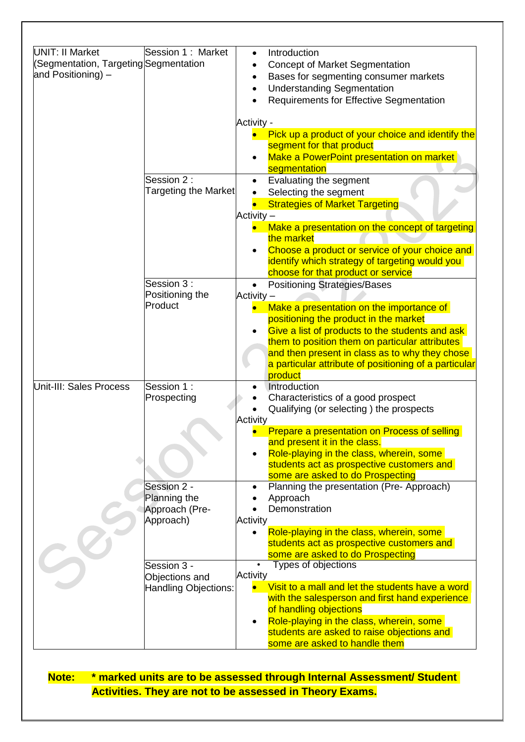| <b>UNIT: II Market</b>                | Session 1: Market             | Introduction                                                                                |
|---------------------------------------|-------------------------------|---------------------------------------------------------------------------------------------|
| (Segmentation, Targeting Segmentation |                               | $\bullet$                                                                                   |
| and Positioning) -                    |                               | <b>Concept of Market Segmentation</b><br>$\bullet$<br>Bases for segmenting consumer markets |
|                                       |                               | $\bullet$                                                                                   |
|                                       |                               | <b>Understanding Segmentation</b>                                                           |
|                                       |                               | <b>Requirements for Effective Segmentation</b>                                              |
|                                       |                               | <b>Activity -</b>                                                                           |
|                                       |                               | Pick up a product of your choice and identify the                                           |
|                                       |                               | segment for that product                                                                    |
|                                       |                               | Make a PowerPoint presentation on market                                                    |
|                                       |                               | segmentation                                                                                |
|                                       | Session 2:                    | Evaluating the segment                                                                      |
|                                       | <b>Targeting the Market</b>   | Selecting the segment                                                                       |
|                                       |                               | <b>Strategies of Market Targeting</b>                                                       |
|                                       |                               | Activity -                                                                                  |
|                                       |                               | Make a presentation on the concept of targeting                                             |
|                                       |                               | the market                                                                                  |
|                                       |                               | Choose a product or service of your choice and                                              |
|                                       |                               | identify which strategy of targeting would you                                              |
|                                       |                               | choose for that product or service                                                          |
|                                       | Session 3:<br>Positioning the | <b>Positioning Strategies/Bases</b><br>$\bullet$                                            |
|                                       | Product                       | Activity -                                                                                  |
|                                       |                               | Make a presentation on the importance of<br>positioning the product in the market           |
|                                       |                               | Give a list of products to the students and ask                                             |
|                                       |                               | them to position them on particular attributes                                              |
|                                       |                               | and then present in class as to why they chose                                              |
|                                       |                               | a particular attribute of positioning of a particular                                       |
|                                       |                               | product                                                                                     |
| Unit-III: Sales Process               | Session 1:                    | Introduction                                                                                |
|                                       | Prospecting                   | Characteristics of a good prospect                                                          |
|                                       |                               | Qualifying (or selecting) the prospects                                                     |
|                                       |                               | Activity                                                                                    |
|                                       |                               | Prepare a presentation on Process of selling                                                |
|                                       |                               | and present it in the class.                                                                |
|                                       |                               | Role-playing in the class, wherein, some<br>students act as prospective customers and       |
|                                       |                               | some are asked to do Prospecting                                                            |
|                                       | Session 2 -                   | Planning the presentation (Pre- Approach)                                                   |
|                                       | Planning the                  | Approach                                                                                    |
|                                       | Approach (Pre-                | Demonstration                                                                               |
|                                       | Approach)                     | Activity                                                                                    |
|                                       |                               | Role-playing in the class, wherein, some                                                    |
|                                       |                               | students act as prospective customers and                                                   |
|                                       |                               | some are asked to do Prospecting                                                            |
|                                       | Session 3 -                   | Types of objections                                                                         |
|                                       | Objections and                | <b>Activity</b>                                                                             |
|                                       | Handling Objections:          | Visit to a mall and let the students have a word                                            |
|                                       |                               | with the salesperson and first hand experience                                              |
|                                       |                               | of handling objections<br>Role-playing in the class, wherein, some                          |
|                                       |                               | students are asked to raise objections and                                                  |
|                                       |                               | some are asked to handle them                                                               |
|                                       |                               |                                                                                             |

**Note: \* marked units are to be assessed through Internal Assessment/ Student Activities. They are not to be assessed in Theory Exams.**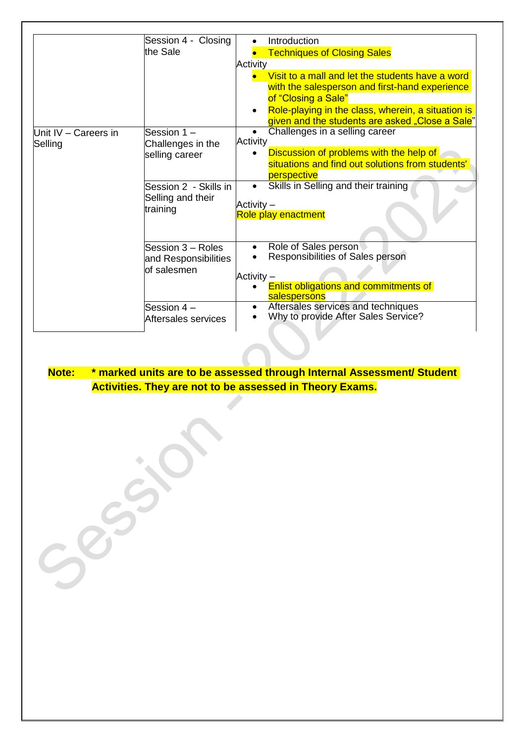|                                 | Session 4 - Closing               | Introduction                                                                                                       |
|---------------------------------|-----------------------------------|--------------------------------------------------------------------------------------------------------------------|
|                                 | the Sale                          | <b>Techniques of Closing Sales</b>                                                                                 |
|                                 |                                   | Activity                                                                                                           |
|                                 |                                   | Visit to a mall and let the students have a word                                                                   |
|                                 |                                   | with the salesperson and first-hand experience<br>of "Closing a Sale"                                              |
|                                 |                                   | Role-playing in the class, wherein, a situation is<br>$\bullet$<br>given and the students are asked "Close a Sale" |
| Unit IV – Careers in<br>Selling | Session 1-<br>Challenges in the   | Challenges in a selling career<br>Activity                                                                         |
|                                 | selling career                    | Discussion of problems with the help of<br>$\bullet$<br>situations and find out solutions from students'           |
|                                 |                                   | perspective                                                                                                        |
|                                 | Session 2 - Skills in             | Skills in Selling and their training<br>$\bullet$                                                                  |
|                                 | Selling and their                 |                                                                                                                    |
|                                 | training                          | Activity –<br>Role play enactment                                                                                  |
|                                 |                                   |                                                                                                                    |
|                                 | Session 3 – Roles                 | Role of Sales person<br>$\bullet$                                                                                  |
|                                 | and Responsibilities              | Responsibilities of Sales person                                                                                   |
|                                 | of salesmen                       | Activity –                                                                                                         |
|                                 |                                   | Enlist obligations and commitments of<br>salespersons                                                              |
|                                 | Session 4-<br>Aftersales services | Aftersales services and techniques<br>$\bullet$<br>Why to provide After Sales Service?                             |
|                                 |                                   |                                                                                                                    |

## **Note: \* marked units are to be assessed through Internal Assessment/ Student Activities. They are not to be assessed in Theory Exams.**

 $\sim$ 

 $55.$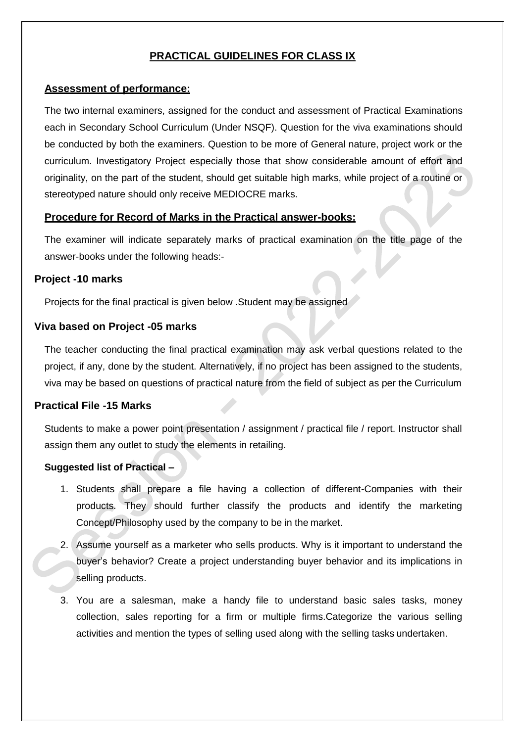## **PRACTICAL GUIDELINES FOR CLASS IX**

#### **Assessment of performance:**

The two internal examiners, assigned for the conduct and assessment of Practical Examinations each in Secondary School Curriculum (Under NSQF). Question for the viva examinations should be conducted by both the examiners. Question to be more of General nature, project work or the curriculum. Investigatory Project especially those that show considerable amount of effort and originality, on the part of the student, should get suitable high marks, while project of a routine or stereotyped nature should only receive MEDIOCRE marks.

#### **Procedure for Record of Marks in the Practical answer-books:**

The examiner will indicate separately marks of practical examination on the title page of the answer-books under the following heads:-

#### **Project -10 marks**

Projects for the final practical is given below .Student may be assigned

## **Viva based on Project -05 marks**

The teacher conducting the final practical examination may ask verbal questions related to the project, if any, done by the student. Alternatively, if no project has been assigned to the students, viva may be based on questions of practical nature from the field of subject as per the Curriculum

## **Practical File -15 Marks**

Students to make a power point presentation / assignment / practical file / report. Instructor shall assign them any outlet to study the elements in retailing.

## **Suggested list of Practical –**

- 1. Students shall prepare a file having a collection of different-Companies with their products. They should further classify the products and identify the marketing Concept/Philosophy used by the company to be in the market.
- 2. Assume yourself as a marketer who sells products. Why is it important to understand the buyer's behavior? Create a project understanding buyer behavior and its implications in selling products.
- 3. You are a salesman, make a handy file to understand basic sales tasks, money collection, sales reporting for a firm or multiple firms.Categorize the various selling activities and mention the types of selling used along with the selling tasks undertaken.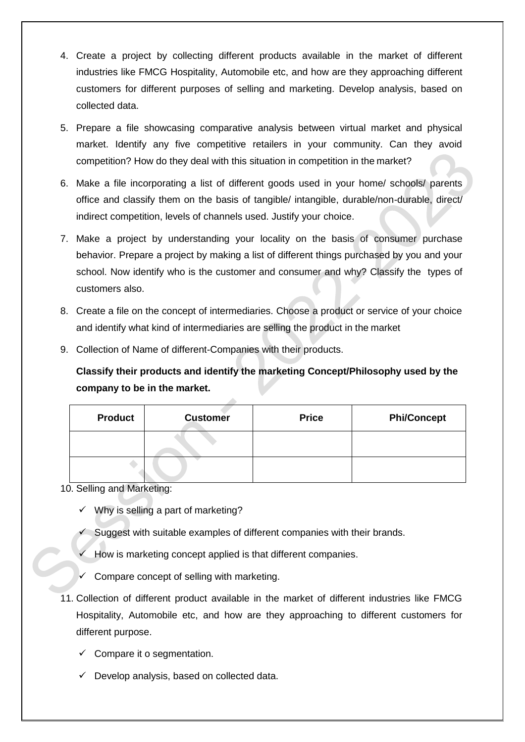- 4. Create a project by collecting different products available in the market of different industries like FMCG Hospitality, Automobile etc, and how are they approaching different customers for different purposes of selling and marketing. Develop analysis, based on collected data.
- 5. Prepare a file showcasing comparative analysis between virtual market and physical market. Identify any five competitive retailers in your community. Can they avoid competition? How do they deal with this situation in competition in the market?
- 6. Make a file incorporating a list of different goods used in your home/ schools/ parents office and classify them on the basis of tangible/ intangible, durable/non-durable, direct/ indirect competition, levels of channels used. Justify your choice.
- 7. Make a project by understanding your locality on the basis of consumer purchase behavior. Prepare a project by making a list of different things purchased by you and your school. Now identify who is the customer and consumer and why? Classify the types of customers also.
- 8. Create a file on the concept of intermediaries. Choose a product or service of your choice and identify what kind of intermediaries are selling the product in the market
- 9. Collection of Name of different-Companies with their products.

**Classify their products and identify the marketing Concept/Philosophy used by the company to be in the market.**

| <b>Product</b> | <b>Customer</b> | <b>Price</b> | <b>Phi/Concept</b> |
|----------------|-----------------|--------------|--------------------|
|                |                 |              |                    |
|                |                 |              |                    |

#### 10. Selling and Marketing:

- $\checkmark$  Why is selling a part of marketing?
- Suggest with suitable examples of different companies with their brands.
- How is marketing concept applied is that different companies.
- Compare concept of selling with marketing.
- 11. Collection of different product available in the market of different industries like FMCG Hospitality, Automobile etc, and how are they approaching to different customers for different purpose.
	- $\checkmark$  Compare it o segmentation.
	- $\checkmark$  Develop analysis, based on collected data.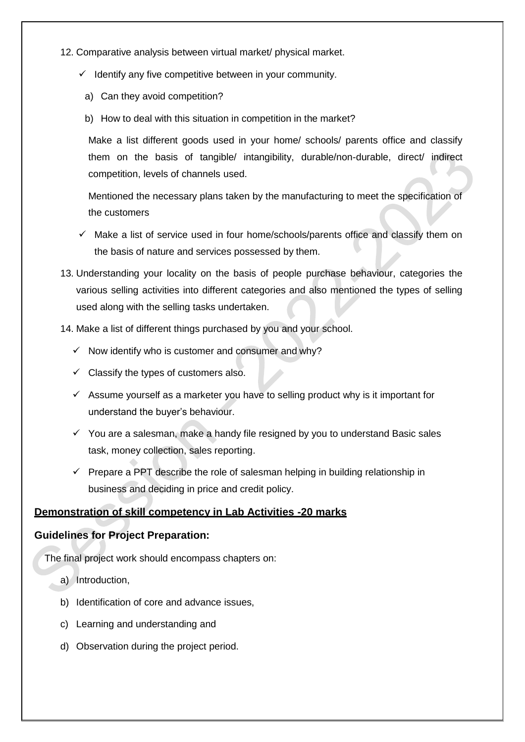- 12. Comparative analysis between virtual market/ physical market.
	- $\checkmark$  Identify any five competitive between in your community.
		- a) Can they avoid competition?
		- b) How to deal with this situation in competition in the market?

Make a list different goods used in your home/ schools/ parents office and classify them on the basis of tangible/ intangibility, durable/non-durable, direct/ indirect competition, levels of channels used.

Mentioned the necessary plans taken by the manufacturing to meet the specification of the customers

- $\checkmark$  Make a list of service used in four home/schools/parents office and classify them on the basis of nature and services possessed by them.
- 13. Understanding your locality on the basis of people purchase behaviour, categories the various selling activities into different categories and also mentioned the types of selling used along with the selling tasks undertaken.
- 14. Make a list of different things purchased by you and your school.
	- $\checkmark$  Now identify who is customer and consumer and why?
	- $\checkmark$  Classify the types of customers also.
	- $\checkmark$  Assume yourself as a marketer you have to selling product why is it important for understand the buyer's behaviour.
	- $\checkmark$  You are a salesman, make a handy file resigned by you to understand Basic sales task, money collection, sales reporting.
	- $\checkmark$  Prepare a PPT describe the role of salesman helping in building relationship in business and deciding in price and credit policy.

#### **Demonstration of skill competency in Lab Activities -20 marks**

#### **Guidelines for Project Preparation:**

The final project work should encompass chapters on:

- a) Introduction,
- b) Identification of core and advance issues,
- c) Learning and understanding and
- d) Observation during the project period.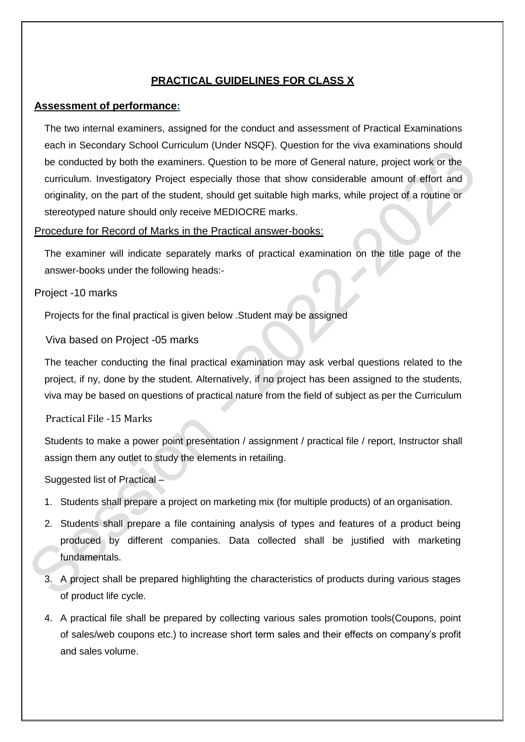## **PRACTICAL GUIDELINES FOR CLASS X**

#### **Assessment of performance:**

The two internal examiners, assigned for the conduct and assessment of Practical Examinations each in Secondary School Curriculum (Under NSQF). Question for the viva examinations should be conducted by both the examiners. Question to be more of General nature, project work or the curriculum. Investigatory Project especially those that show considerable amount of effort and originality, on the part of the student, should get suitable high marks, while project of a routine or stereotyped nature should only receive MEDIOCRE marks.

#### Procedure for Record of Marks in the Practical answer-books:

The examiner will indicate separately marks of practical examination on the title page of the answer-books under the following heads:-

#### Project -10 marks

Projects for the final practical is given below .Student may be assigned

Viva based on Project -05 marks

The teacher conducting the final practical examination may ask verbal questions related to the project, if ny, done by the student. Alternatively, if no project has been assigned to the students, viva may be based on questions of practical nature from the field of subject as per the Curriculum

#### Practical File -15 Marks

Students to make a power point presentation / assignment / practical file / report, Instructor shall assign them any outlet to study the elements in retailing.

Suggested list of Practical –

- 1. Students shall prepare a project on marketing mix (for multiple products) of an organisation.
- 2. Students shall prepare a file containing analysis of types and features of a product being produced by different companies. Data collected shall be justified with marketing fundamentals.
- 3. A project shall be prepared highlighting the characteristics of products during various stages of product life cycle.
- 4. A practical file shall be prepared by collecting various sales promotion tools(Coupons, point of sales/web coupons etc.) to increase short term sales and their effects on company's profit and sales volume.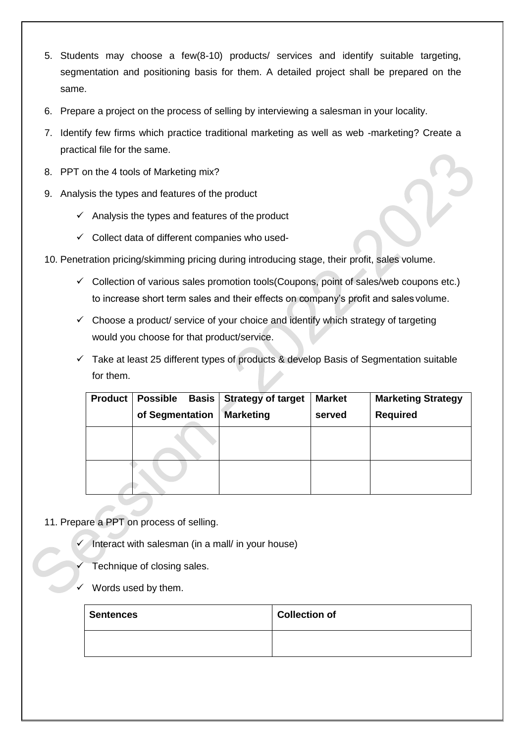- 5. Students may choose a few(8-10) products/ services and identify suitable targeting, segmentation and positioning basis for them. A detailed project shall be prepared on the same.
- 6. Prepare a project on the process of selling by interviewing a salesman in your locality.
- 7. Identify few firms which practice traditional marketing as well as web -marketing? Create a practical file for the same.
- 8. PPT on the 4 tools of Marketing mix?
- 9. Analysis the types and features of the product
	- $\checkmark$  Analysis the types and features of the product
	- $\checkmark$  Collect data of different companies who used-
- 10. Penetration pricing/skimming pricing during introducing stage, their profit, sales volume.
	- $\checkmark$  Collection of various sales promotion tools(Coupons, point of sales/web coupons etc.) to increase short term sales and their effects on company's profit and sales volume.
	- $\checkmark$  Choose a product/ service of your choice and identify which strategy of targeting would you choose for that product/service.
	- $\checkmark$  Take at least 25 different types of products & develop Basis of Segmentation suitable for them.

| <b>Product</b> | <b>Possible</b><br><b>Basis</b> | <b>Strategy of target</b> | <b>Market</b> | <b>Marketing Strategy</b> |
|----------------|---------------------------------|---------------------------|---------------|---------------------------|
|                | of Segmentation                 | <b>Marketing</b>          | served        | <b>Required</b>           |
|                |                                 |                           |               |                           |
|                |                                 |                           |               |                           |

- 11. Prepare a PPT on process of selling.
	- Interact with salesman (in a mall/ in your house)
	- Technique of closing sales.
	- Words used by them.

| <b>Sentences</b> | <b>Collection of</b> |
|------------------|----------------------|
|                  |                      |